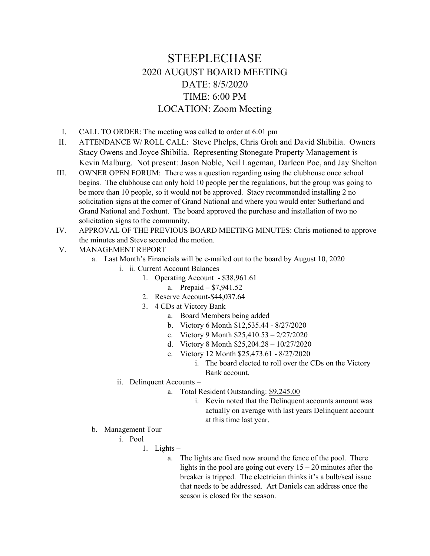## STEEPLECHASE 2020 AUGUST BOARD MEETING DATE: 8/5/2020 TIME: 6:00 PM LOCATION: Zoom Meeting

- I. CALL TO ORDER: The meeting was called to order at 6:01 pm
- II. ATTENDANCE W/ ROLL CALL: Steve Phelps, Chris Groh and David Shibilia. Owners Stacy Owens and Joyce Shibilia. Representing Stonegate Property Management is Kevin Malburg. Not present: Jason Noble, Neil Lageman, Darleen Poe, and Jay Shelton
- III. OWNER OPEN FORUM: There was a question regarding using the clubhouse once school begins. The clubhouse can only hold 10 people per the regulations, but the group was going to be more than 10 people, so it would not be approved. Stacy recommended installing 2 no solicitation signs at the corner of Grand National and where you would enter Sutherland and Grand National and Foxhunt. The board approved the purchase and installation of two no solicitation signs to the community.
- IV. APPROVAL OF THE PREVIOUS BOARD MEETING MINUTES: Chris motioned to approve the minutes and Steve seconded the motion.
- V. MANAGEMENT REPORT
	- a. Last Month's Financials will be e-mailed out to the board by August 10, 2020
		- i. ii. Current Account Balances
			- 1. Operating Account \$38,961.61
				- a. Prepaid \$7,941.52
			- 2. Reserve Account-\$44,037.64
			- 3. 4 CDs at Victory Bank
				- a. Board Members being added
				- b. Victory 6 Month \$12,535.44 8/27/2020
				- c. Victory 9 Month \$25,410.53 2/27/2020
				- d. Victory 8 Month \$25,204.28 10/27/2020
				- e. Victory 12 Month \$25,473.61 8/27/2020
					- i. The board elected to roll over the CDs on the Victory Bank account.
		- ii. Delinquent Accounts
			- a. Total Resident Outstanding: \$9,245.00
				- i. Kevin noted that the Delinquent accounts amount was actually on average with last years Delinquent account at this time last year.
	- b. Management Tour
		- i. Pool
			- 1. Lights
				- a. The lights are fixed now around the fence of the pool. There lights in the pool are going out every  $15 - 20$  minutes after the breaker is tripped. The electrician thinks it's a bulb/seal issue that needs to be addressed. Art Daniels can address once the season is closed for the season.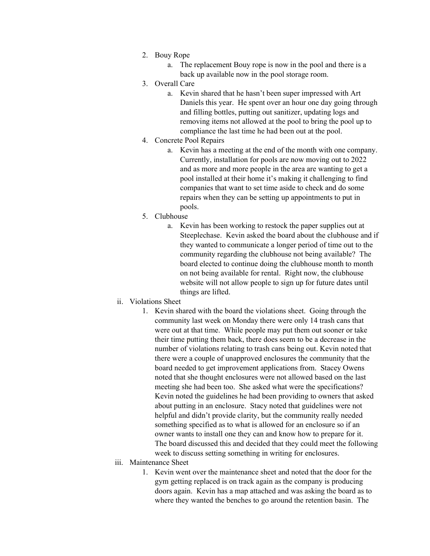- 2. Bouy Rope
	- a. The replacement Bouy rope is now in the pool and there is a back up available now in the pool storage room.
- 3. Overall Care
	- a. Kevin shared that he hasn't been super impressed with Art Daniels this year. He spent over an hour one day going through and filling bottles, putting out sanitizer, updating logs and removing items not allowed at the pool to bring the pool up to compliance the last time he had been out at the pool.
- 4. Concrete Pool Repairs
	- a. Kevin has a meeting at the end of the month with one company. Currently, installation for pools are now moving out to 2022 and as more and more people in the area are wanting to get a pool installed at their home it's making it challenging to find companies that want to set time aside to check and do some repairs when they can be setting up appointments to put in pools.
- 5. Clubhouse
	- a. Kevin has been working to restock the paper supplies out at Steeplechase. Kevin asked the board about the clubhouse and if they wanted to communicate a longer period of time out to the community regarding the clubhouse not being available? The board elected to continue doing the clubhouse month to month on not being available for rental. Right now, the clubhouse website will not allow people to sign up for future dates until things are lifted.
- ii. Violations Sheet
	- 1. Kevin shared with the board the violations sheet. Going through the community last week on Monday there were only 14 trash cans that were out at that time. While people may put them out sooner or take their time putting them back, there does seem to be a decrease in the number of violations relating to trash cans being out. Kevin noted that there were a couple of unapproved enclosures the community that the board needed to get improvement applications from. Stacey Owens noted that she thought enclosures were not allowed based on the last meeting she had been too. She asked what were the specifications? Kevin noted the guidelines he had been providing to owners that asked about putting in an enclosure. Stacy noted that guidelines were not helpful and didn't provide clarity, but the community really needed something specified as to what is allowed for an enclosure so if an owner wants to install one they can and know how to prepare for it. The board discussed this and decided that they could meet the following week to discuss setting something in writing for enclosures.
- iii. Maintenance Sheet
	- 1. Kevin went over the maintenance sheet and noted that the door for the gym getting replaced is on track again as the company is producing doors again. Kevin has a map attached and was asking the board as to where they wanted the benches to go around the retention basin. The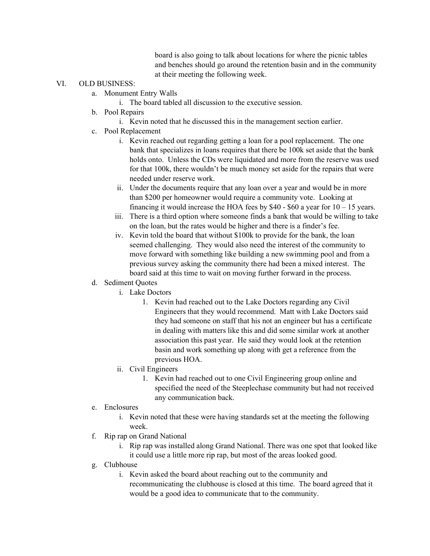board is also going to talk about locations for where the picnic tables and benches should go around the retention basin and in the community at their meeting the following week.

## VI. OLD BUSINESS:

- a. Monument Entry Walls
	- i. The board tabled all discussion to the executive session.
- b. Pool Repairs
	- i. Kevin noted that he discussed this in the management section earlier.
- c. Pool Replacement
	- i. Kevin reached out regarding getting a loan for a pool replacement. The one bank that specializes in loans requires that there be 100k set aside that the bank holds onto. Unless the CDs were liquidated and more from the reserve was used for that 100k, there wouldn't be much money set aside for the repairs that were needed under reserve work.
	- ii. Under the documents require that any loan over a year and would be in more than \$200 per homeowner would require a community vote. Looking at financing it would increase the HOA fees by  $$40 - $60$  a year for  $10 - 15$  years.
	- iii. There is a third option where someone finds a bank that would be willing to take on the loan, but the rates would be higher and there is a finder's fee.
	- iv. Kevin told the board that without \$100k to provide for the bank, the loan seemed challenging. They would also need the interest of the community to move forward with something like building a new swimming pool and from a previous survey asking the community there had been a mixed interest. The board said at this time to wait on moving further forward in the process.
- d. Sediment Quotes
	- i. Lake Doctors
		- 1. Kevin had reached out to the Lake Doctors regarding any Civil Engineers that they would recommend. Matt with Lake Doctors said they had someone on staff that his not an engineer but has a certificate in dealing with matters like this and did some similar work at another association this past year. He said they would look at the retention basin and work something up along with get a reference from the previous HOA.
	- ii. Civil Engineers
		- 1. Kevin had reached out to one Civil Engineering group online and specified the need of the Steeplechase community but had not received any communication back.
- e. Enclosures
	- i. Kevin noted that these were having standards set at the meeting the following week.
- f. Rip rap on Grand National
	- i. Rip rap was installed along Grand National. There was one spot that looked like it could use a little more rip rap, but most of the areas looked good.
- g. Clubhouse
	- i. Kevin asked the board about reaching out to the community and recommunicating the clubhouse is closed at this time. The board agreed that it would be a good idea to communicate that to the community.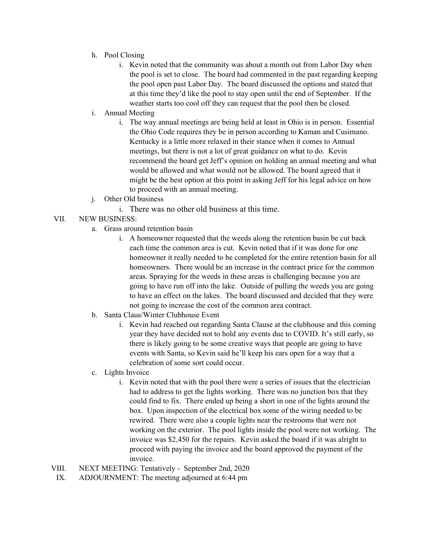- h. Pool Closing
	- i. Kevin noted that the community was about a month out from Labor Day when the pool is set to close. The board had commented in the past regarding keeping the pool open past Labor Day. The board discussed the options and stated that at this time they'd like the pool to stay open until the end of September. If the weather starts too cool off they can request that the pool then be closed.
- i. Annual Meeting
	- i. The way annual meetings are being held at least in Ohio is in person. Essential the Ohio Code requires they be in person according to Kaman and Cusimano. Kentucky is a little more relaxed in their stance when it comes to Annual meetings, but there is not a lot of great guidance on what to do. Kevin recommend the board get Jeff's opinion on holding an annual meeting and what would be allowed and what would not be allowed. The board agreed that it might be the best option at this point in asking Jeff for his legal advice on how to proceed with an annual meeting.
- j. Other Old business
	- i. There was no other old business at this time.
- VII. NEW BUSINESS:
	- a. Grass around retention basin
		- i. A homeowner requested that the weeds along the retention basin be cut back each time the common area is cut. Kevin noted that if it was done for one homeowner it really needed to be completed for the entire retention basin for all homeowners. There would be an increase in the contract price for the common areas. Spraying for the weeds in these areas is challenging because you are going to have run off into the lake. Outside of pulling the weeds you are going to have an effect on the lakes. The board discussed and decided that they were not going to increase the cost of the common area contract.
	- b. Santa Claus/Winter Clubhouse Event
		- i. Kevin had reached out regarding Santa Clause at the clubhouse and this coming year they have decided not to hold any events due to COVID. It's still early, so there is likely going to be some creative ways that people are going to have events with Santa, so Kevin said he'll keep his ears open for a way that a celebration of some sort could occur.
	- c. Lights Invoice
		- i. Kevin noted that with the pool there were a series of issues that the electrician had to address to get the lights working. There was no junction box that they could find to fix. There ended up being a short in one of the lights around the box. Upon inspection of the electrical box some of the wiring needed to be rewired. There were also a couple lights near the restrooms that were not working on the exterior. The pool lights inside the pool were not working. The invoice was \$2,450 for the repairs. Kevin asked the board if it was alright to proceed with paying the invoice and the board approved the payment of the invoice.
- VIII. NEXT MEETING: Tentatively September 2nd, 2020
- IX. ADJOURNMENT: The meeting adjourned at 6:44 pm